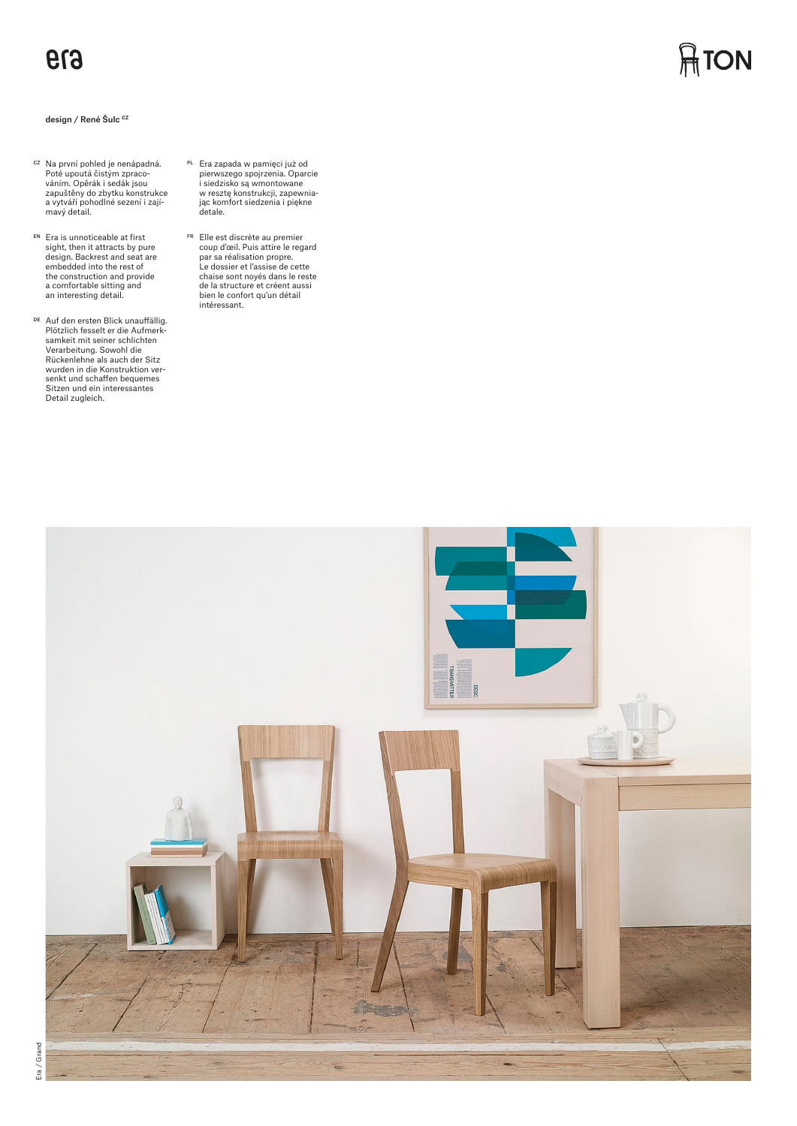## design / René Šulc **CZ**

- <sup>cz</sup> Na první pohled je nenápadná.<br>Poté upoutá čistým zpraco-<br>váním. Opěrák i sedák jsou zapuštěny do zbytku konstrukce a vytváří pohodlné sezení i zajímavý detail.
- EN Era is unnoticeable at first sight, then it attracts by pure design. Backrest and seat are embedded into the rest of the construction and provide a comfortable sitting and an interesting detail.
- <sup>DE</sup> Auf den ersten Blick unauffällig.<br>-Plötzlich fesselt er die Aufmerk samkeit mit seiner schlichten Verarbeitung. Sowohl die Rückenlehne als auch der Sitz wurden in die Konstruktion versenkt und schaffen bequemes Sitzen und ein interessantes Detail zugleich.
- PL Era zapada w pamięci już od pierwszego spojrzenia. Oparcie i siedzisko są wmontowane w resztę konstrukcji, zapewnia-jąc komfort siedzenia i piękne detale.
- FR Elle est discrète au premier coup d'œil. Puis attire le regard par sa réalisation propre. Le dossier et l'assise de cette chaise sont noyés dans le reste de la structure et créent aussi bien le confort qu'un détail intéressant.



**ATON**